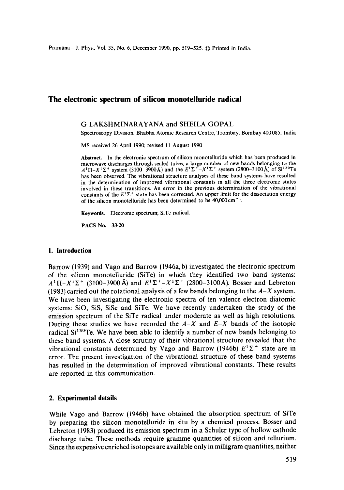# **The electronic spectrum of silicon monotelluride radical**

#### **G** LAKSHMINARAYANA and SHEILA GOPAL

Spectroscopy Division, Bhabha Atomic Research Centre, Trombay, Bombay 400085, India

MS received 26 April 1990; revised 11 August 1990

Abstract. In the electronic spectrum of silicon monotelluride which has been produced in **Abstract.** In the electronic spectrum of silicon inonormation which has been produced in microwave discharges through sealed tubes, a large number of new band 3 belonging to the  $A^T H - A^T Z$  system (3100–5500A) and the  $L^T Z - A^T Z$  system (2000–5100 A) or surface has been observed. The vibrational structure analyses of these band systems have resulted in the determination of improved vibrational constants in all the three electronic states involved in these transitions. An error in the previous determination of the vibrational constants of the  $E^T\Sigma^+$  state has been corrected. An upper limit for the dissociation energy of the silicon monotelluride has been determined to be  $40,000 \text{ cm}^{-1}$ .

**Keywords.** Electronic spectrum; SiTe radical.

PACS No. 33.20

# **I. Introduction**

Barrow (1939) and Vago and Barrow (1946a, b) investigated the electronic spectrum of the silicon monotelluride (SiTe) in which they identified two band systems:  $A^1\Pi - X^1\Sigma^+$  (3100-3900 Å) and  $E^1\Sigma^+ - X^1\Sigma^+$  (2800-3100 Å). Bosser and Lebreton (1983) carried out the rotational analysis of a few bands belonging to the *A-X* system. We have been investigating the electronic spectra of ten valence electron diatomic systems: SiO, SiS, SiSe and SiTe. We have recently undertaken the study of the emission spectrum of the SiTe radical under moderate as well as high resolutions. During these studies we have recorded the  $A-X$  and  $E-X$  bands of the isotopic radical  $Si<sup>130</sup>Te$ . We have been able to identify a number of new bands belonging to these band systems. A close scrutiny of their vibrational structure revealed that the vibrational constants determined by Vago and Barrow (1946b)  $E^1\Sigma^+$  state are in error. The present investigation of the vibrational structure of these band systems has resulted in the determination of improved vibrational constants. These results are reported in this communication.

### **2. Experimental details**

While Vago and Barrow (1946b) have obtained the absorption spectrum of SiTe by preparing the silicon monotelluride in situ by a chemical process, Bosser and Lebreton (1983) produced its emission spectrum in a Schuler type of hollow cathode discharge tube. These methods require gramme quantities of silicon and tellurium. Since the expensive enriched isotopes are available only in milligram quantities, neither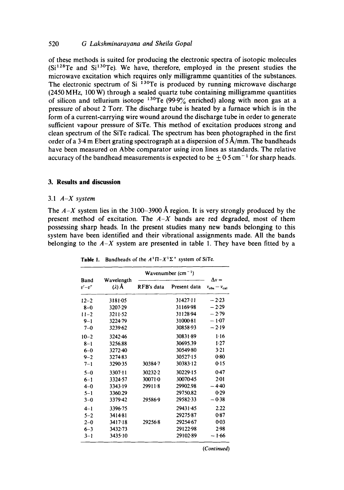# 520 *G Lakshminarayana and Sheila Gopal*

of these methods is suited for producing the electronic spectra of isotopic molecules  $(Si^{128}Te$  and  $Si^{130}Te$ ). We have, therefore, employed in the present studies the microwave excitation which requires only milligramme quantities of the substances. The electronic spectrum of Si  $^{130}$ Te is produced by running microwave discharge (2450 MHz, 100 W) through a sealed quartz tube containing milligramme quantities of silicon and tellurium isotope  $^{130}$ Te (99.9% enriched) along with neon gas at a pressure of about 2 Torr. The discharge tube is heated by a furnace which is in the form of a current-carrying wire wound around the discharge tube in order to generate sufficient vapour pressure of SiTe. This method of excitation produces strong and clean spectrum of the SiTe radical. The spectrum has been photographed in the first order of a 3.4 m Ebert grating spectrograph at a dispersion of  $5\text{ Å/mm}$ . The bandheads have been measured on Abbe comparator using iron lines as standards. The relative accuracy of the bandhead measurements is expected to be  $\pm 0.5$  cm<sup>-1</sup> for sharp heads.

# **3. Results and discussion**

#### 3.1 *A-X system*

The  $A-X$  system lies in the 3100-3900 Å region. It is very strongly produced by the present method of excitation. The *A-X* bands are red degraded, most of them possessing sharp heads. In the present studies many new bands belonging to this system have been identified and their vibrational assignments made. All the bands belonging to the  $A-X$  system are presented in table 1. They have been fitted by a

|                  |                     | Wavenumber $(cm-1)$ |              |                                             |  |
|------------------|---------------------|---------------------|--------------|---------------------------------------------|--|
| Band<br>$v'-v''$ | Wavelength<br>(2) Ă | RFB's data          | Present data | $\Delta v =$<br>$v_{\rm obs} - v_{\rm cal}$ |  |
| $12 - 2$         | 3181-05             |                     | 31427-11     | $-2.23$                                     |  |
| $8-0$            | 3207-29             |                     | 31169-98     | $-2.29$                                     |  |
| $11 - 2$         | $3211 - 52$         |                     | 31128-94     | $-2.79$                                     |  |
| $9 - 1$          | 3224.79             |                     | 3100081      | $-1.07$                                     |  |
| $7 - 0$          | 3239-62             |                     | 30858-93     | $-2.19$                                     |  |
| $10 - 2$         | 3242.46             |                     | 30831-89     | $1 - 16$                                    |  |
| $8 - 1$          | 3256.88             |                     | 30695.39     | 1.27                                        |  |
| $6-0$            | 3272-40             |                     | 30549-80     | $3-21$                                      |  |
| $9 - 2$          | 3274.83             |                     | 30527-15     | 0.80                                        |  |
| $7 - 1$          | 3290.35             | 30384.7             | 30383.12     | 0:15                                        |  |
| $5 - 0$          | 3307-11             | 30232.2             | 30229-15     | 0.47                                        |  |
| $6 - 1$          | 3324.57             | 300710              | 30070-45     | 2.01                                        |  |
| $4 - 0$          | 3343.19             | 29911.8             | 29902.98     | $-4.40$                                     |  |
| $5 - 1$          | 3360.29             |                     | 29750.82     | 0.29                                        |  |
| $3 - 0$          | 3379.42             | 29586-9             | 29582-33     | $-0.38$                                     |  |
| $4 - 1$          | 3396.75             |                     | 29431.45     | 2.22                                        |  |
| $5 - 2$          | 3414-81             |                     | 29275.87     | 0.87                                        |  |
| $2 - 0$          | 3417-18             | 29256.8             | 29254.67     | 0.03                                        |  |
| $6 - 3$          | 3432.73             |                     | 29122-98     | 2.98                                        |  |
| $3 - 1$          | 3435.10             |                     | 29102-89     | $-1.66$                                     |  |

**Table 1.** Bandheads of the  $A^1\Pi - X^1\Sigma^+$  system of SiTe.

*(Continued)*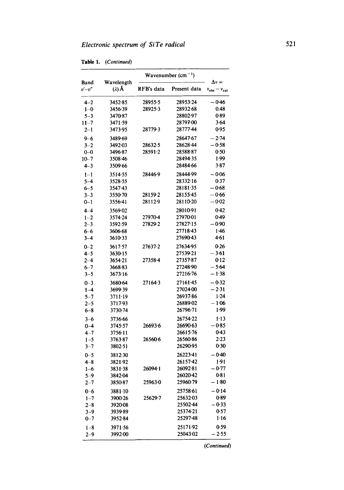Table 1. *(Continued)* 

|                  |                             | Wavenumber $(cm-1)$ |              |                                             |
|------------------|-----------------------------|---------------------|--------------|---------------------------------------------|
| Band<br>$v'-v''$ | Wavelength<br>$(\lambda)$ Å | RFB's data          | Present data | $\Delta v =$<br>$v_{\rm obs} - v_{\rm cal}$ |
| $4 - 2$          | 3452.85                     | 28955-5             | 28953-24     | $-0.46$                                     |
| $1 - 0$          | 3456-39                     | 28925-3             | 28932-68     | 0.48                                        |
| $5 - 3$          | 3470-87                     |                     | 28802.97     | 0.89                                        |
| $11 - 7$         | 3471.59                     |                     | 28797-00     | 3.64                                        |
| $2 - 1$          | 3473.95                     | 28779.3             | 28777-44     | 0.95                                        |
| $9 - 6$          | 3489.69                     |                     | 28647.67     | - 2.74                                      |
| $3 - 2$          | 3492.03                     | 28632-5             | 28628-44     | $-0.58$                                     |
| $0 - 0$          | 3496.87                     | 28591.2             | 28588.87     | 0.50                                        |
| $10 - 7$         | 3508.46                     |                     | 2849435      | 1.99                                        |
| $4 - 3$          | 3509 66                     |                     | 28484.66     | 3.87                                        |
| $1 - 1$          | 3514.55                     | 28446.9             | 28444-99     | $-0.06$                                     |
| $5 - 4$          | 3528.55                     |                     | 28332.16     | 0.37                                        |
| $6 - 5$          | 3547.43                     |                     | 28181.35     | $-0.68$                                     |
| $3 - 3$          | 3550.70                     | 28159-2             | 28155.45     | — 0·66                                      |
| $0 - 1$          | 3556-41                     | 28112.9             | 28110-20     | $-0.02$                                     |
| $4 - 4$          | 3569.02                     |                     | 28010-91     | 0.42                                        |
| $1 - 2$          | 3574.24                     | 27970-4             | 27970-01     | 0.49                                        |
| $2 - 3$          | 3592.59                     | 27829.2             | 27827.15     | — 0∙90                                      |
| $6 - 6$          | 3606.68                     |                     | 27718-43     | 1.46                                        |
| $3 - 4$          | 3610.33                     |                     | 27690-43     | 4.61                                        |
| $0 - 2$          | 3617.57                     | 27637-2             | 27634-95     | 0.26                                        |
| $4 - 5$          | 3630-15                     |                     | 27539-21     | $-3.61$                                     |
| $2 - 4$          | 3654.21                     | 27358-4             | 27357-87     | 0.12                                        |
| $6 - 7$          | 3668.83                     |                     | 27248.90     | $-5.64$                                     |
| $3 - 5$          | 3673.16                     |                     | 27216-76     | — 1∙38                                      |
| $0 - 3$          | 3680.64                     | $27164 - 3$         | 27161.45     | $-0.32$                                     |
| $1 - 4$          | 3699-39                     |                     | 27024.00     | $-2.31$                                     |
| $5 - 7$          | 3711-19                     |                     | 26937.86     | 1.24                                        |
| $2 - 5$          | 3717.93                     |                     | 26889-02     | — 1·06                                      |
| $6 - 8$          | 3730-74                     |                     | 26796-71     | 1.99                                        |
| $3 - 6$          | 3736.66                     |                     | 26754.22     | $1 - 13$                                    |
| $0 - 4$          | 3745-57                     | 26693.6             | 26690-63     | - 0.85                                      |
| $4 - 7$          | 3756-11                     |                     | 26615.76     | 0.43                                        |
| $1 - 5$          | 3763.87                     | 26560-6             | 26560-86     | 2.23                                        |
| $3 - 7$          | 3802.51                     |                     | 26290-95     | 0.30                                        |
| $0 - 5$          | 3812.30                     |                     | 26223-41     | $-0.40$                                     |
| $4 - 8$          | 3821.92                     |                     | 26157.42     | 1.91                                        |
| $1 - 6$          | 3831.38                     | $26094 - 1$         | 26092-81     | $-0.77$                                     |
| $5 - 9$          | 3842.04                     |                     | 26020-42     | 0.81                                        |
| $_{2-7}$         | 3850.87                     | 25963-0             | 25960-79     | – 1∙80                                      |
| $0 - 6$          | $3881 - 10$                 |                     | 25758.61     | - 0.14                                      |
| $1 - 7$          | 3900.26                     | 25629-7             | 25632-03     | 0.89                                        |
| $2 - 8$          | 3920.08                     |                     | 25502-44     | $-0.33$                                     |
| $3 - 9$          | 3939-89                     |                     | 25374-21     | 0.57                                        |
| $_{0-7}$         | 3952.84                     |                     | 25297-48     | $1 - 16$                                    |
| $1 - 8$          | 3971.56                     |                     | 25171.92     | 0.59                                        |
| $2 - 9$          | 3992-00                     |                     | 25043.02     | $-2.55$                                     |

*(Continued)*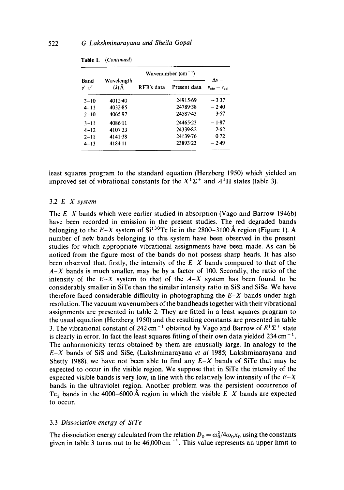| Band<br>$v'-v''$ | Wavelength<br>(2) Å | Wavenumber $(cm-1)$ |              |                                                    |
|------------------|---------------------|---------------------|--------------|----------------------------------------------------|
|                  |                     | RFB's data          | Present data | $\Lambda v =$<br>$v_{\text{obs}} - v_{\text{col}}$ |
| $3 - 10$         | $4012 - 40$         |                     | 24915.69     | $-3.37$                                            |
| $4 - 11$         | 4032.85             |                     | 24789-38     | $-2.40$                                            |
| $2 - 10$         | 4065.97             |                     | 24587-43     | $-3.57$                                            |
| $3 - 11$         | $4086 - 11$         |                     | 24465.23     | $-1.87$                                            |
| $4 - 12$         | 4107.33             |                     | 24339-82     | $-2.62$                                            |
| $2 - 11$         | 4141.38             |                     | 24139.76     | $0-72$                                             |
| $4 - 13$         | 4184.11             |                     | 23893-23     | $-2.49$                                            |

| Table 1.<br>(Continued) |  |
|-------------------------|--|
|-------------------------|--|

least squares program to the standard equation (Herzberg 1950) which yielded an improved set of vibrational constants for the  $X^1\Sigma^+$  and  $A^1\Pi$  states (table 3).

#### 3.2 *E-X system*

The *E-X* bands which were earlier studied in absorption (Vago and Barrow 1946b) have been recorded in emission in the present studies. The red degraded bands belonging to the  $E-X$  system of  $Si^{130}Te$  lie in the 2800-3100 Å region (Figure 1). A number of new bands belonging to this system have been observed in the present studies for which appropriate vibrational assignments have been made. As can be noticed from the figure most of the bands do not possess sharp heads. It has also been observed that, firstly, the intensity of the *E-X* bands compared to that of the  $A-X$  bands is much smaller, may be by a factor of 100. Secondly, the ratio of the intensity of the  $E-X$  system to that of the  $A-X$  system has been found to be considerably smaller in SiTe than the similar intensity ratio in SiS and SiSe. We have therefore faced considerable difficulty in photographing the  $E-X$  bands under high resolution. The vacuum wavenumbers of the bandheads together with their vibrational assignments are presented in table 2. They are fitted in a least squares program to the usual equation (Herzberg 1950) and the resulting constants are presented in table 3. The vibrational constant of 242 cm<sup>-1</sup> obtained by Vago and Barrow of  $E^1\Sigma^+$  state is clearly in error. In fact the least squares fitting of their own data yielded  $234 \text{ cm}^{-1}$ . The anharmonicity terms obtained by them are unusually large. In analogy to the *E-X* bands of SiS and SiSe, (Lakshminarayana *et al* 1985; Lakshminarayana and Shetty 1988), we have not been able to find any *E-X* bands of SiTe that may be expected to occur in the visible region. We suppose that in SiTe the intensity of the expected visible bands is very low, in line with the relatively low intensity of the  $E-X$ bands in the ultraviolet region. Another problem was the persistent occurrence of Te, bands in the 4000-6000 Å region in which the visible  $E-X$  bands are expected to occur.

### 3.3 *Dissociation energy of SiTe*

The dissociation energy calculated from the relation  $D_0 = \omega_0^2/4\omega_0x_0$  using the constants given in table 3 turns out to be  $46,000 \text{ cm}^{-1}$ . This value represents an upper limit to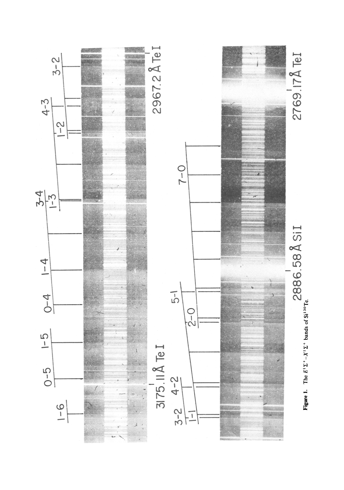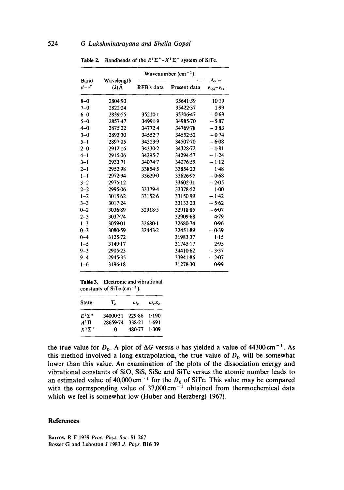|                  |                             | Wavenumber $(cm-1)$ |              |                                             |
|------------------|-----------------------------|---------------------|--------------|---------------------------------------------|
| Band<br>$v'-v''$ | Wavelength<br>$(\lambda)$ Å | RFB's data          | Present data | $\Delta v =$<br>$v_{\rm obs} - v_{\rm cal}$ |
| $8 - 0$          | 2804.90                     |                     | 35641-39     | 10.19                                       |
| $7 - 0$          | 2822-24                     |                     | 35422.37     | 1.99                                        |
| $6 - 0$          | 2839.55                     | 35210.1             | 35206.47     | $-0.69$                                     |
| $5 - 0$          | 2857.47                     | 34991.9             | 34985-70     | $-5.87$                                     |
| $4 - 0$          | 2875.22                     | 34772-4             | 34769.78     | $-3.83$                                     |
| $3 - 0$          | 2893.30                     | 34552.7             | 34552.52     | $-0.74$                                     |
| $5 - 1$          | 2897.05                     | 34513.9             | 34507.70     | $-6.08$                                     |
| $2 - 0$          | 2912.16                     | 34330.2             | 34328.72     | $-1.81$                                     |
| $4 - 1$          | 2915.06                     | 34295-7             | 34294.57     | $-1.24$                                     |
| $3 - 1$          | 2933-71                     | 34074-7             | 34076.59     | $-1.12$                                     |
| $2 - 1$          | 2952.98                     | 33854.5             | 33854-23     | 1.48                                        |
| $1 - 1$          | 2972-94                     | 33629.0             | 33626.95     | $-0.68$                                     |
| $3 - 2$          | 2975.12                     |                     | 33602.31     | $-2.05$                                     |
| $2 - 2$          | 2995.06                     | 33379-4             | 33378-52     | $1-00$                                      |
| $1 - 2$          | 3015.62                     | 33152.6             | 33150-99     | $-1.42$                                     |
| $3 - 3$          | $3017 - 24$                 |                     | 33133-23     | $-5.62$                                     |
| $0 - 2$          | 3036-89                     | 32918.5             | 32918-85     | $-6.07$                                     |
| $2 - 3$          | 3037-74                     |                     | 32909.68     | 4.79                                        |
| $1 - 3$          | 3059 01                     | 32680-1             | 32680.74     | 0.96                                        |
| $0 - 3$          | 3080-59                     | 32443.2             | 32451.89     | $-0.39$                                     |
| $0 - 4$          | 3125.72                     |                     | 31983.37     | 1.15                                        |
| $1 - 5$          | 3149.17                     |                     | 31745-17     | 2.95                                        |
| 9–3              | 2905.23                     |                     | 34410.62     | $-3.37$                                     |
| 9–4              | 2945.35                     |                     | 33941.86     | $-2.07$                                     |
| $1 - 6$          | 3196-18                     |                     | 31278.30     | 0.99                                        |
|                  |                             |                     |              |                                             |

**Table 2.** Bandheads of the  $E^1\Sigma^+ - X^1\Sigma^+$  system of SiTe.

**Table** 3. Electronic and vibrational constants of SiTe  $(cm<sup>-1</sup>).$ 

| <b>State</b>  | T.                    | ω.     | $\omega_{\rho}$ x <sub>e</sub> |
|---------------|-----------------------|--------|--------------------------------|
| $E^1\Sigma^+$ | 34000-31 229-86 1-190 |        |                                |
| $A^1\Pi$      | 28659.74              | 338.21 | 1.691                          |
| $X^1\Sigma^+$ | 0.                    | 480.77 | 1.309                          |

the true value for  $D_0$ . A plot of  $\Delta G$  versus v has yielded a value of 44300 cm<sup>-1</sup>. As this method involved a long extrapolation, the true value of  $D_0$  will be somewhat lower than this value. An examination of the plots of the dissociation energy and vibrational constants of SiO, SiS, SiSe and SiTe versus the atomic number leads to an estimated value of  $40,000 \text{ cm}^{-1}$  for the  $D_0$  of SiTe. This value may be compared with the corresponding value of  $37,000 \text{ cm}^{-1}$  obtained from thermochemical data which we feel is somewhat low (Huber and Herzberg) 1967).

### **References**

Barrow R F 1939 *Proc. Phys. Soc.* 51 267 Bosser G and Lebreton J 1983 *J. Phys.* B16 39